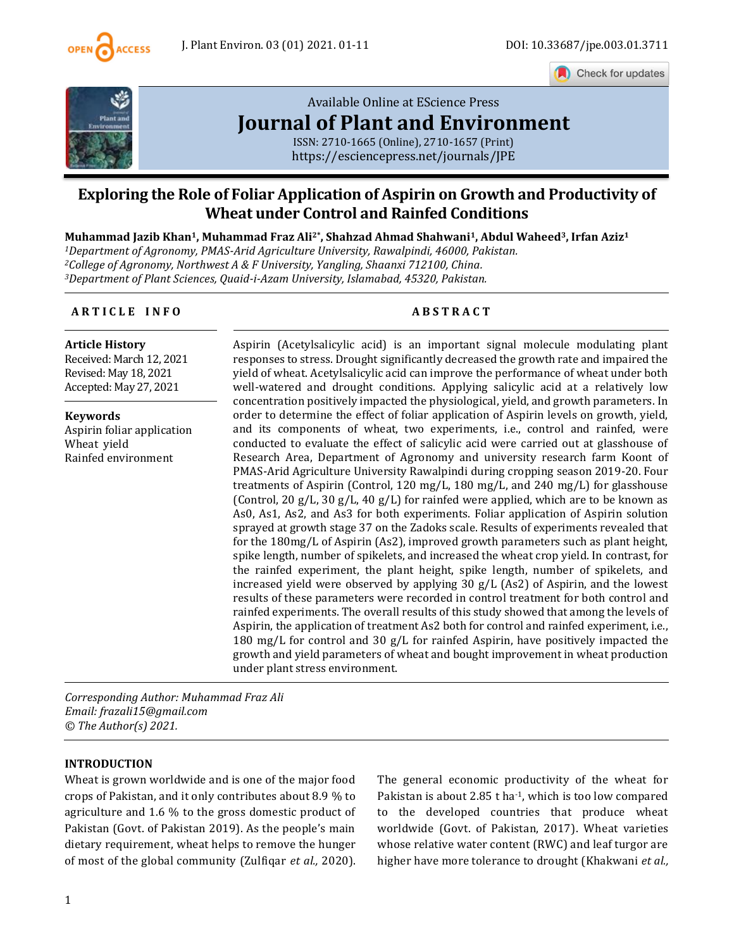

Check for updates



# [Available Online at EScience Press](https://esciencepress.net/journals/JPE) **[Journal of Plant and Environment](https://esciencepress.net/journals/JPE)**

ISSN: 2710-1665 (Online), 2710-1657 (Print) <https://esciencepress.net/journals/JPE>

## **Exploring the Role of Foliar Application of Aspirin on Growth and Productivity of Wheat under Control and Rainfed Conditions**

**Muhammad Jazib Khan1, Muhammad Fraz Ali2\* , Shahzad Ahmad Shahwani1, Abdul Waheed3, Irfan Aziz<sup>1</sup>** *Department of Agronomy, PMAS-Arid Agriculture University, Rawalpindi, 46000, Pakistan. College of Agronomy, Northwest A & F University, Yangling, Shaanxi 712100, China. Department of Plant Sciences, Quaid-i-Azam University, Islamabad, 45320, Pakistan.*

## **A R T I C L E I N F O A B S T R A C T**

**Article History**

Received: March 12, 2021 Revised: May 18, 2021 Accepted: May 27, 2021

**Keywords** Aspirin foliar application Wheat yield Rainfed environment

Aspirin (Acetylsalicylic acid) is an important signal molecule modulating plant responses to stress. Drought significantly decreased the growth rate and impaired the yield of wheat. Acetylsalicylic acid can improve the performance of wheat under both well-watered and drought conditions. Applying salicylic acid at a relatively low concentration positively impacted the physiological, yield, and growth parameters. In order to determine the effect of foliar application of Aspirin levels on growth, yield, and its components of wheat, two experiments, i.e., control and rainfed, were conducted to evaluate the effect of salicylic acid were carried out at glasshouse of Research Area, Department of Agronomy and university research farm Koont of PMAS-Arid Agriculture University Rawalpindi during cropping season 2019-20. Four treatments of Aspirin (Control, 120 mg/L, 180 mg/L, and 240 mg/L) for glasshouse (Control, 20 g/L, 30 g/L, 40 g/L) for rainfed were applied, which are to be known as As0, As1, As2, and As3 for both experiments. Foliar application of Aspirin solution sprayed at growth stage 37 on the Zadoks scale. Results of experiments revealed that for the 180mg/L of Aspirin (As2), improved growth parameters such as plant height, spike length, number of spikelets, and increased the wheat crop yield. In contrast, for the rainfed experiment, the plant height, spike length, number of spikelets, and increased yield were observed by applying 30 g/L (As2) of Aspirin, and the lowest results of these parameters were recorded in control treatment for both control and rainfed experiments. The overall results of this study showed that among the levels of Aspirin, the application of treatment As2 both for control and rainfed experiment, i.e., 180 mg/L for control and 30 g/L for rainfed Aspirin, have positively impacted the growth and yield parameters of wheat and bought improvement in wheat production under plant stress environment.

*Corresponding Author: Muhammad Fraz Ali Email: frazali15@gmail.com © The Author(s) 2021.*

## **INTRODUCTION**

Wheat is grown worldwide and is one of the major food crops of Pakistan, and it only contributes about 8.9 % to agriculture and 1.6 % to the gross domestic product of Pakistan (Govt. of Pakistan 2019). As the people's main dietary requirement, wheat helps to remove the hunger of most of the global community (Zulfiqar *et al.,* 2020). The general economic productivity of the wheat for Pakistan is about 2.85 t ha<sup>-1</sup>, which is too low compared to the developed countries that produce wheat worldwide (Govt. of Pakistan, 2017). Wheat varieties whose relative water content (RWC) and leaf turgor are higher have more tolerance to drought (Khakwani *et al.,*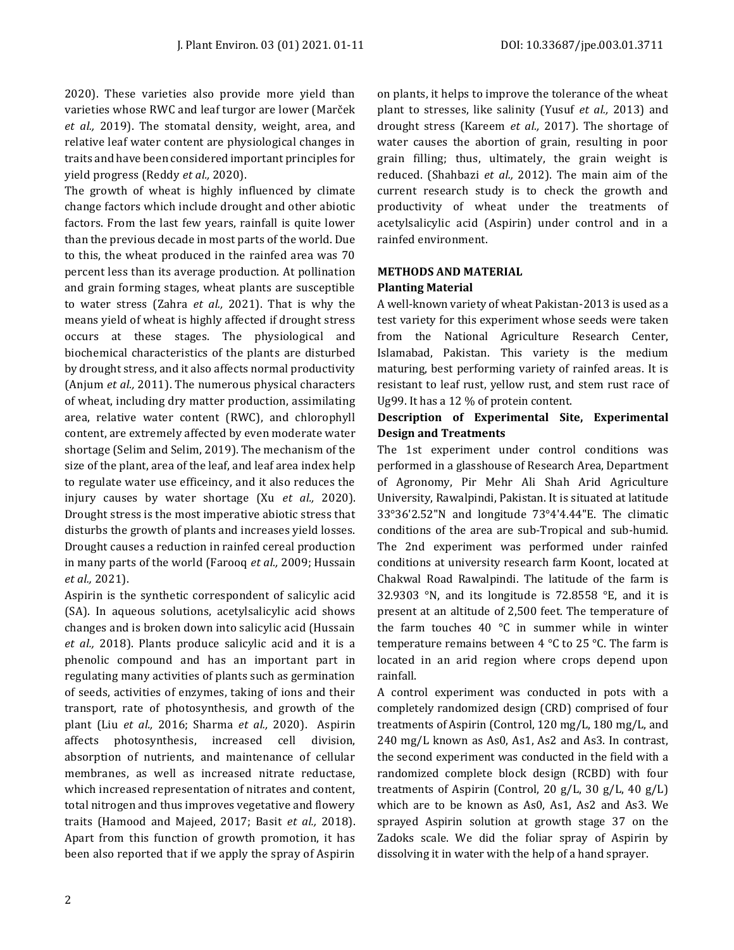2020). These varieties also provide more yield than varieties whose RWC and leaf turgor are lower (Marček *et al.,* 2019). The stomatal density, weight, area, and relative leaf water content are physiological changes in traits and have been considered important principles for yield progress (Reddy *et al.,* 2020).

The growth of wheat is highly influenced by climate change factors which include drought and other abiotic factors. From the last few years, rainfall is quite lower than the previous decade in most parts of the world. Due to this, the wheat produced in the rainfed area was 70 percent less than its average production. At pollination and grain forming stages, wheat plants are susceptible to water stress (Zahra *et al.,* 2021). That is why the means yield of wheat is highly affected if drought stress occurs at these stages. The physiological and biochemical characteristics of the plants are disturbed by drought stress, and it also affects normal productivity (Anjum *et al.,* 2011). The numerous physical characters of wheat, including dry matter production, assimilating area, relative water content (RWC), and chlorophyll content, are extremely affected by even moderate water shortage (Selim and Selim, 2019). The mechanism of the size of the plant, area of the leaf, and leaf area index help to regulate water use efficeincy, and it also reduces the injury causes by water shortage (Xu *et al.,* 2020). Drought stress is the most imperative abiotic stress that disturbs the growth of plants and increases yield losses. Drought causes a reduction in rainfed cereal production in many parts of the world (Farooq *et al.,* 2009; Hussain *et al.,* 2021).

Aspirin is the synthetic correspondent of salicylic acid (SA). In aqueous solutions, acetylsalicylic acid shows changes and is broken down into salicylic acid (Hussain *et al.,* 2018). Plants produce salicylic acid and it is a phenolic compound and has an important part in regulating many activities of plants such as germination of seeds, activities of enzymes, taking of ions and their transport, rate of photosynthesis, and growth of the plant (Liu *et al.,* 2016; Sharma *et al.,* 2020). Aspirin affects photosynthesis, increased cell division, absorption of nutrients, and maintenance of cellular membranes, as well as increased nitrate reductase, which increased representation of nitrates and content, total nitrogen and thus improves vegetative and flowery traits (Hamood and Majeed, 2017; Basit *et al.,* 2018). Apart from this function of growth promotion, it has been also reported that if we apply the spray of Aspirin on plants, it helps to improve the tolerance of the wheat plant to stresses, like salinity (Yusuf *et al.,* 2013) and drought stress (Kareem *et al.,* 2017). The shortage of water causes the abortion of grain, resulting in poor grain filling; thus, ultimately, the grain weight is reduced. (Shahbazi *et al.,* 2012). The main aim of the current research study is to check the growth and productivity of wheat under the treatments of acetylsalicylic acid (Aspirin) under control and in a rainfed environment.

## **METHODS AND MATERIAL Planting Material**

A well-known variety of wheat Pakistan-2013 is used as a test variety for this experiment whose seeds were taken from the National Agriculture Research Center, Islamabad, Pakistan. This variety is the medium maturing, best performing variety of rainfed areas. It is resistant to leaf rust, yellow rust, and stem rust race of Ug99. It has a 12 % of protein content.

## **Description of Experimental Site, Experimental Design and Treatments**

The 1st experiment under control conditions was performed in a glasshouse of Research Area, Department of Agronomy, Pir Mehr Ali Shah Arid Agriculture University, Rawalpindi, Pakistan. It is situated at latitude 33°36'2.52"N and longitude 73°4'4.44"E. The climatic conditions of the area are sub-Tropical and sub-humid. The 2nd experiment was performed under rainfed conditions at university research farm Koont, located at Chakwal Road Rawalpindi. The latitude of the farm is 32.9303 °N, and its longitude is 72.8558 °E, and it is present at an altitude of 2,500 feet. The temperature of the farm touches 40 °C in summer while in winter temperature remains between 4 °C to 25 °C. The farm is located in an arid region where crops depend upon rainfall.

A control experiment was conducted in pots with a completely randomized design (CRD) comprised of four treatments of Aspirin (Control, 120 mg/L, 180 mg/L, and 240 mg/L known as As0, As1, As2 and As3. In contrast, the second experiment was conducted in the field with a randomized complete block design (RCBD) with four treatments of Aspirin (Control, 20 g/L, 30 g/L, 40 g/L) which are to be known as As0, As1, As2 and As3. We sprayed Aspirin solution at growth stage 37 on the Zadoks scale. We did the foliar spray of Aspirin by dissolving it in water with the help of a hand sprayer.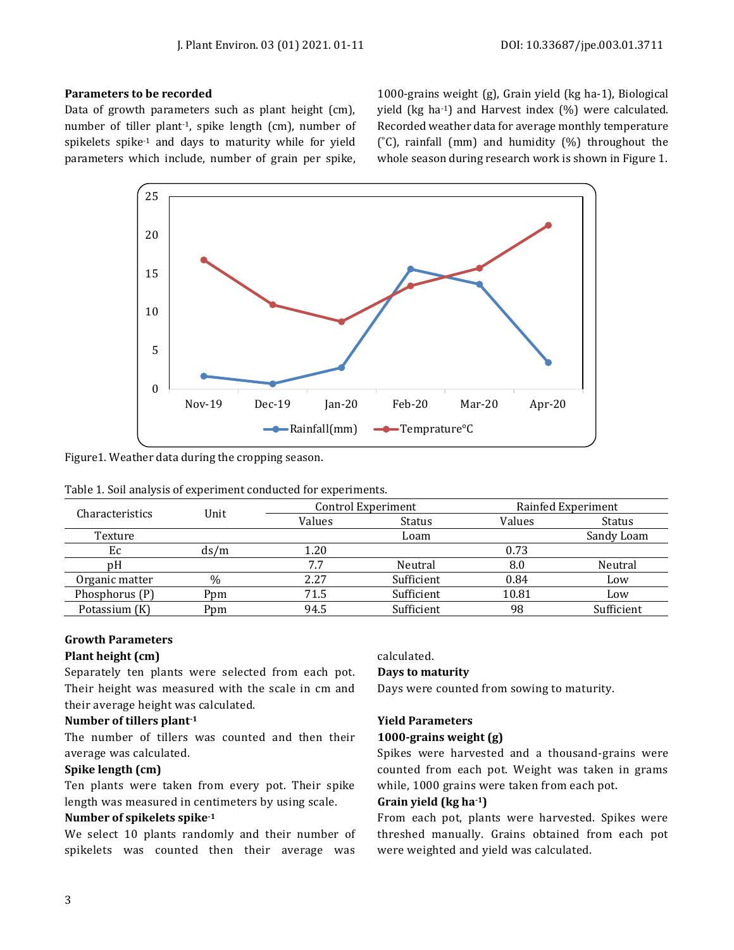## **Parameters to be recorded**

Data of growth parameters such as plant height (cm), number of tiller plant-1, spike length (cm), number of spikelets spike-1 and days to maturity while for yield parameters which include, number of grain per spike,

1000-grains weight (g), Grain yield (kg ha-1), Biological yield (kg ha-1) and Harvest index (%) were calculated. Recorded weather data for average monthly temperature  $\degree$ C), rainfall (mm) and humidity  $\degree$ ) throughout the whole season during research work is shown in Figure 1.



Figure1. Weather data during the cropping season.

| Table 1. Soil analysis of experiment conducted for experiments. |  |  |  |  |
|-----------------------------------------------------------------|--|--|--|--|
|-----------------------------------------------------------------|--|--|--|--|

| Characteristics | Unit |        | Control Experiment | Rainfed Experiment |               |  |
|-----------------|------|--------|--------------------|--------------------|---------------|--|
|                 |      | Values | <b>Status</b>      | Values             | <b>Status</b> |  |
| Texture         |      |        | Loam               |                    | Sandy Loam    |  |
| Ec              | ds/m | 1.20   |                    | 0.73               |               |  |
| pΗ              |      | 7.7    | Neutral            | 8.0                | Neutral       |  |
| Organic matter  | $\%$ | 2.27   | Sufficient         | 0.84               | Low           |  |
| Phosphorus (P)  | Ppm  | 71.5   | Sufficient         | 10.81              | Low           |  |
| Potassium (K)   | Ppm  | 94.5   | Sufficient         | 98                 | Sufficient    |  |

## **Growth Parameters**

## **Plant height (cm)**

Separately ten plants were selected from each pot. Their height was measured with the scale in cm and their average height was calculated.

## **Number of tillers plant-1**

The number of tillers was counted and then their average was calculated.

## **Spike length (cm)**

Ten plants were taken from every pot. Their spike length was measured in centimeters by using scale.

## **Number of spikelets spike-1**

We select 10 plants randomly and their number of spikelets was counted then their average was

calculated.

## **Days to maturity**

Days were counted from sowing to maturity.

## **Yield Parameters**

#### **1000-grains weight (g)**

Spikes were harvested and a thousand-grains were counted from each pot. Weight was taken in grams while, 1000 grains were taken from each pot.

## **Grain yield (kg ha-1)**

From each pot, plants were harvested. Spikes were threshed manually. Grains obtained from each pot were weighted and yield was calculated.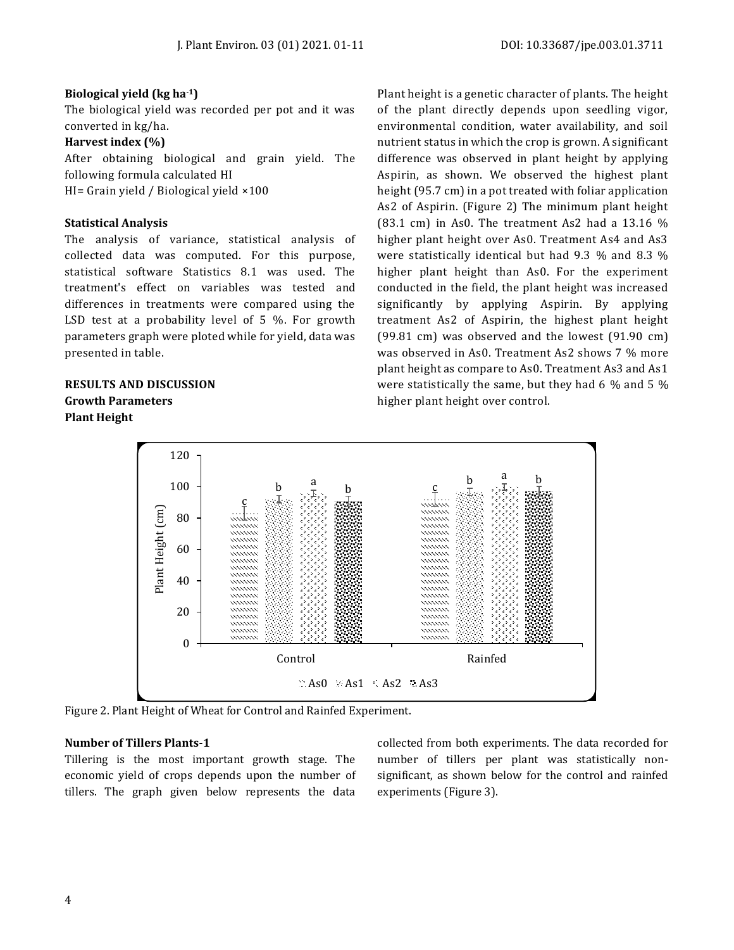## **Biological yield (kg ha-1)**

The biological yield was recorded per pot and it was converted in kg/ha.

## **Harvest index (%)**

After obtaining biological and grain yield. The following formula calculated HI HI= Grain yield / Biological yield ×100

## **Statistical Analysis**

The analysis of variance, statistical analysis of collected data was computed. For this purpose, statistical software Statistics 8.1 was used. The treatment's effect on variables was tested and differences in treatments were compared using the LSD test at a probability level of 5 %. For growth parameters graph were ploted while for yield, data was presented in table.

## **RESULTS AND DISCUSSION Growth Parameters Plant Height**

Plant height is a genetic character of plants. The height of the plant directly depends upon seedling vigor, environmental condition, water availability, and soil nutrient status in which the crop is grown. A significant difference was observed in plant height by applying Aspirin, as shown. We observed the highest plant height (95.7 cm) in a pot treated with foliar application As2 of Aspirin. (Figure 2) The minimum plant height (83.1 cm) in As0. The treatment As2 had a 13.16 % higher plant height over As0. Treatment As4 and As3 were statistically identical but had 9.3 % and 8.3 % higher plant height than As0. For the experiment conducted in the field, the plant height was increased significantly by applying Aspirin. By applying treatment As2 of Aspirin, the highest plant height (99.81 cm) was observed and the lowest (91.90 cm) was observed in As0. Treatment As2 shows 7 % more plant height as compare to As0. Treatment As3 and As1 were statistically the same, but they had 6 % and 5 % higher plant height over control.



Figure 2. Plant Height of Wheat for Control and Rainfed Experiment.

### **Number of Tillers Plants-1**

Tillering is the most important growth stage. The economic yield of crops depends upon the number of tillers. The graph given below represents the data collected from both experiments. The data recorded for number of tillers per plant was statistically nonsignificant, as shown below for the control and rainfed experiments (Figure 3).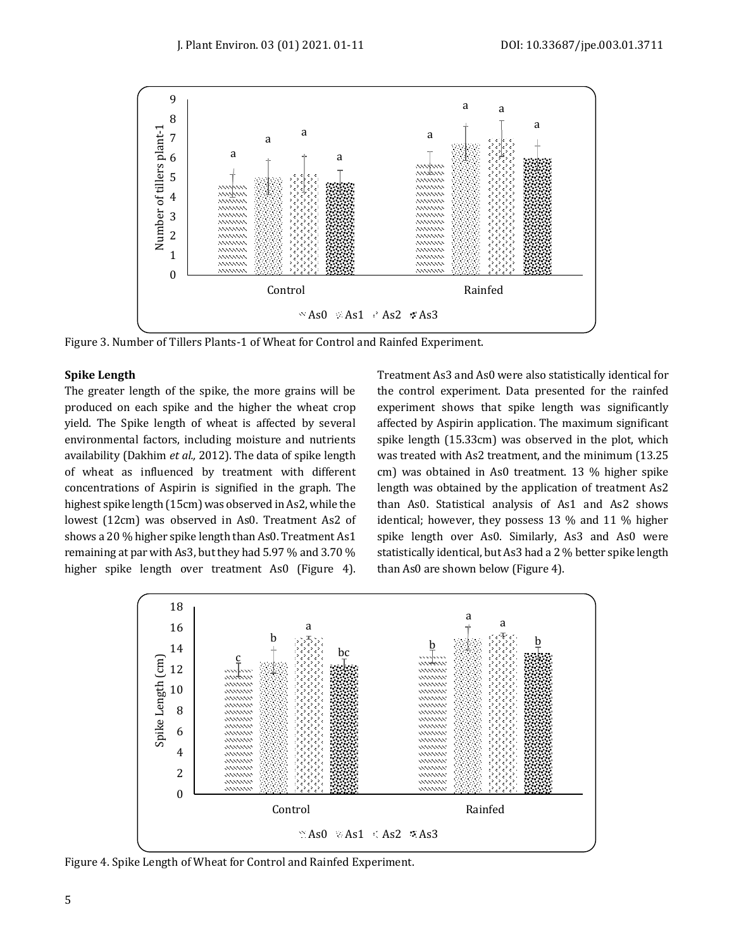

Figure 3. Number of Tillers Plants-1 of Wheat for Control and Rainfed Experiment.

## **Spike Length**

The greater length of the spike, the more grains will be produced on each spike and the higher the wheat crop yield. The Spike length of wheat is affected by several environmental factors, including moisture and nutrients availability (Dakhim *et al.,* 2012). The data of spike length of wheat as influenced by treatment with different concentrations of Aspirin is signified in the graph. The highest spike length (15cm) was observed in As2, while the lowest (12cm) was observed in As0. Treatment As2 of shows a 20 % higher spike length than As0. Treatment As1 remaining at par with As3, but they had 5.97 % and 3.70 % higher spike length over treatment As0 (Figure 4).

Treatment As3 and As0 were also statistically identical for the control experiment. Data presented for the rainfed experiment shows that spike length was significantly affected by Aspirin application. The maximum significant spike length (15.33cm) was observed in the plot, which was treated with As2 treatment, and the minimum (13.25 cm) was obtained in As0 treatment. 13 % higher spike length was obtained by the application of treatment As2 than As0. Statistical analysis of As1 and As2 shows identical; however, they possess 13 % and 11 % higher spike length over As0. Similarly, As3 and As0 were statistically identical, but As3 had a 2 % better spike length than As0 are shown below (Figure 4).



Figure 4. Spike Length of Wheat for Control and Rainfed Experiment.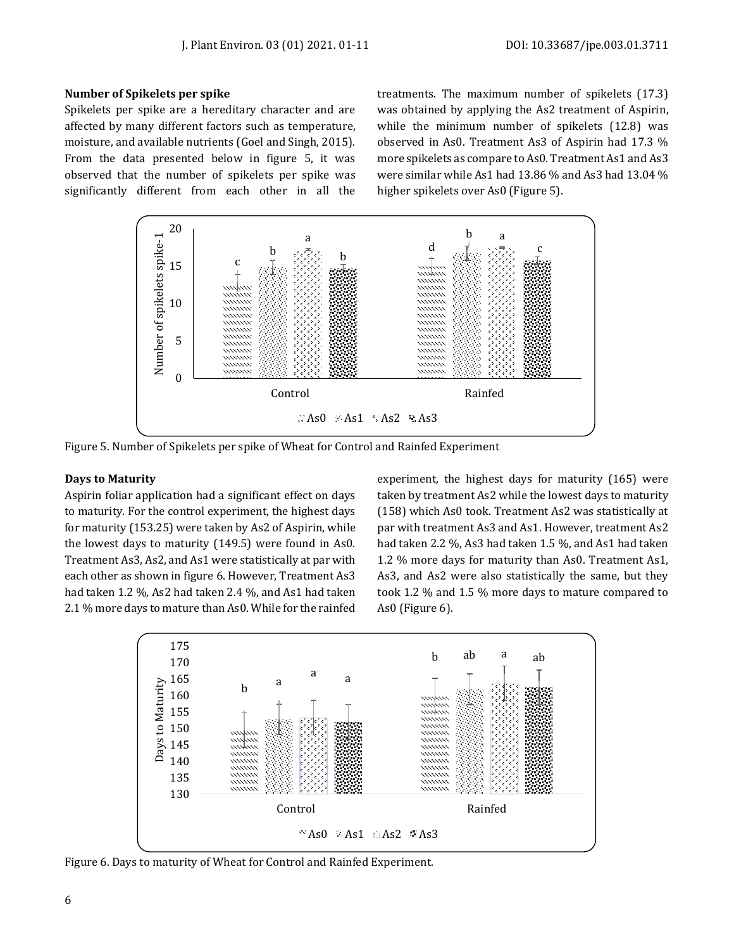## **Number of Spikelets per spike**

Spikelets per spike are a hereditary character and are affected by many different factors such as temperature, moisture, and available nutrients (Goel and Singh, 2015). From the data presented below in figure 5, it was observed that the number of spikelets per spike was significantly different from each other in all the treatments. The maximum number of spikelets (17.3) was obtained by applying the As2 treatment of Aspirin, while the minimum number of spikelets (12.8) was observed in As0. Treatment As3 of Aspirin had 17.3 % more spikelets as compare to As0. Treatment As1 and As3 were similar while As1 had 13.86 % and As3 had 13.04 % higher spikelets over As0 (Figure 5).



Figure 5. Number of Spikelets per spike of Wheat for Control and Rainfed Experiment

## **Days to Maturity**

Aspirin foliar application had a significant effect on days to maturity. For the control experiment, the highest days for maturity (153.25) were taken by As2 of Aspirin, while the lowest days to maturity (149.5) were found in As0. Treatment As3, As2, and As1 were statistically at par with each other as shown in figure 6. However, Treatment As3 had taken 1.2 %, As2 had taken 2.4 %, and As1 had taken 2.1 % more days to mature than As0. While for the rainfed experiment, the highest days for maturity (165) were taken by treatment As2 while the lowest days to maturity (158) which As0 took. Treatment As2 was statistically at par with treatment As3 and As1. However, treatment As2 had taken 2.2 %, As3 had taken 1.5 %, and As1 had taken 1.2 % more days for maturity than As0. Treatment As1, As3, and As2 were also statistically the same, but they took 1.2 % and 1.5 % more days to mature compared to As0 (Figure 6).



Figure 6. Days to maturity of Wheat for Control and Rainfed Experiment.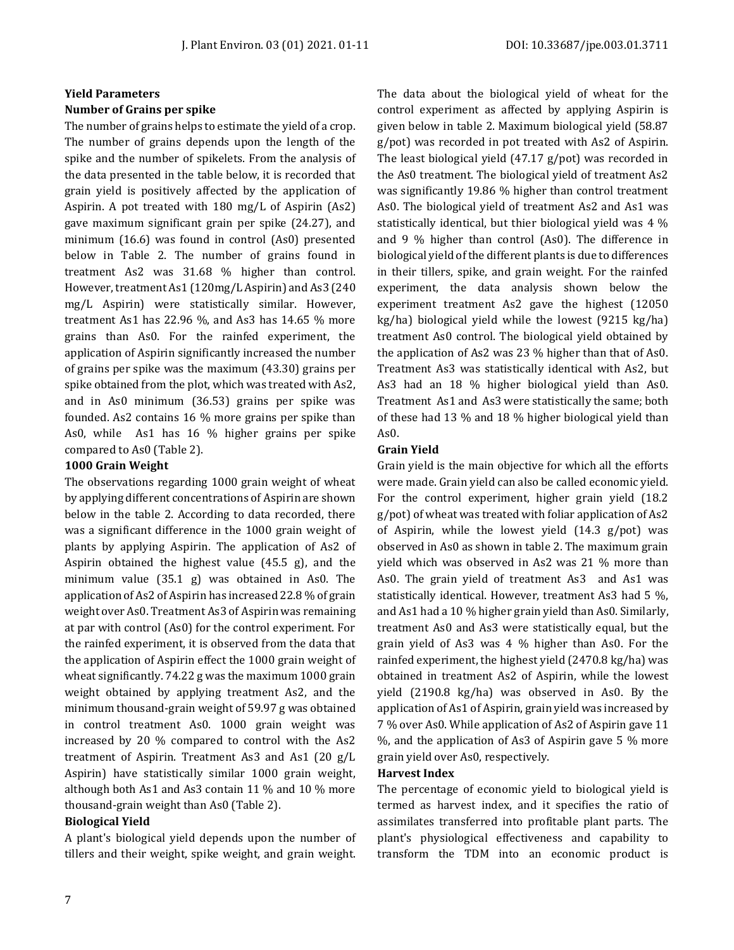### **Yield Parameters**

#### **Number of Grains per spike**

The number of grains helps to estimate the yield of a crop. The number of grains depends upon the length of the spike and the number of spikelets. From the analysis of the data presented in the table below, it is recorded that grain yield is positively affected by the application of Aspirin. A pot treated with 180 mg/L of Aspirin (As2) gave maximum significant grain per spike (24.27), and minimum (16.6) was found in control (As0) presented below in Table 2. The number of grains found in treatment As2 was 31.68 % higher than control. However, treatment As1 (120mg/L Aspirin) and As3 (240 mg/L Aspirin) were statistically similar. However, treatment As1 has 22.96 %, and As3 has 14.65 % more grains than As0. For the rainfed experiment, the application of Aspirin significantly increased the number of grains per spike was the maximum (43.30) grains per spike obtained from the plot, which was treated with As2, and in As0 minimum (36.53) grains per spike was founded. As2 contains 16 % more grains per spike than As0, while As1 has 16 % higher grains per spike compared to As0 (Table 2).

#### **1000 Grain Weight**

The observations regarding 1000 grain weight of wheat by applying different concentrations of Aspirin are shown below in the table 2. According to data recorded, there was a significant difference in the 1000 grain weight of plants by applying Aspirin. The application of As2 of Aspirin obtained the highest value (45.5 g), and the minimum value (35.1 g) was obtained in As0. The application of As2 of Aspirin has increased 22.8 % of grain weight over As0. Treatment As3 of Aspirin was remaining at par with control (As0) for the control experiment. For the rainfed experiment, it is observed from the data that the application of Aspirin effect the 1000 grain weight of wheat significantly. 74.22 g was the maximum 1000 grain weight obtained by applying treatment As2, and the minimum thousand-grain weight of 59.97 g was obtained in control treatment As0. 1000 grain weight was increased by 20 % compared to control with the As2 treatment of Aspirin. Treatment As3 and As1 (20 g/L Aspirin) have statistically similar 1000 grain weight, although both As1 and As3 contain 11 % and 10 % more thousand-grain weight than As0 (Table 2).

#### **Biological Yield**

A plant's biological yield depends upon the number of tillers and their weight, spike weight, and grain weight. The data about the biological yield of wheat for the control experiment as affected by applying Aspirin is given below in table 2. Maximum biological yield (58.87 g/pot) was recorded in pot treated with As2 of Aspirin. The least biological yield (47.17 g/pot) was recorded in the As0 treatment. The biological yield of treatment As2 was significantly 19.86 % higher than control treatment As0. The biological yield of treatment As2 and As1 was statistically identical, but thier biological yield was 4 % and 9 % higher than control (As0). The difference in biological yield of the different plants is due to differences in their tillers, spike, and grain weight. For the rainfed experiment, the data analysis shown below the experiment treatment As2 gave the highest (12050 kg/ha) biological yield while the lowest (9215 kg/ha) treatment As0 control. The biological yield obtained by the application of As2 was 23 % higher than that of As0. Treatment As3 was statistically identical with As2, but As3 had an 18 % higher biological yield than As0. Treatment As1 and As3 were statistically the same; both of these had 13 % and 18 % higher biological yield than As0.

## **Grain Yield**

Grain yield is the main objective for which all the efforts were made. Grain yield can also be called economic yield. For the control experiment, higher grain yield (18.2 g/pot) of wheat was treated with foliar application of As2 of Aspirin, while the lowest yield (14.3 g/pot) was observed in As0 as shown in table 2. The maximum grain yield which was observed in As2 was 21 % more than As0. The grain yield of treatment As3 and As1 was statistically identical. However, treatment As3 had 5 %, and As1 had a 10 % higher grain yield than As0. Similarly, treatment As0 and As3 were statistically equal, but the grain yield of As3 was 4 % higher than As0. For the rainfed experiment, the highest yield (2470.8 kg/ha) was obtained in treatment As2 of Aspirin, while the lowest yield (2190.8 kg/ha) was observed in As0. By the application of As1 of Aspirin, grain yield was increased by 7 % over As0. While application of As2 of Aspirin gave 11 %, and the application of As3 of Aspirin gave 5 % more grain yield over As0, respectively.

## **Harvest Index**

The percentage of economic yield to biological yield is termed as harvest index, and it specifies the ratio of assimilates transferred into profitable plant parts. The plant's physiological effectiveness and capability to transform the TDM into an economic product is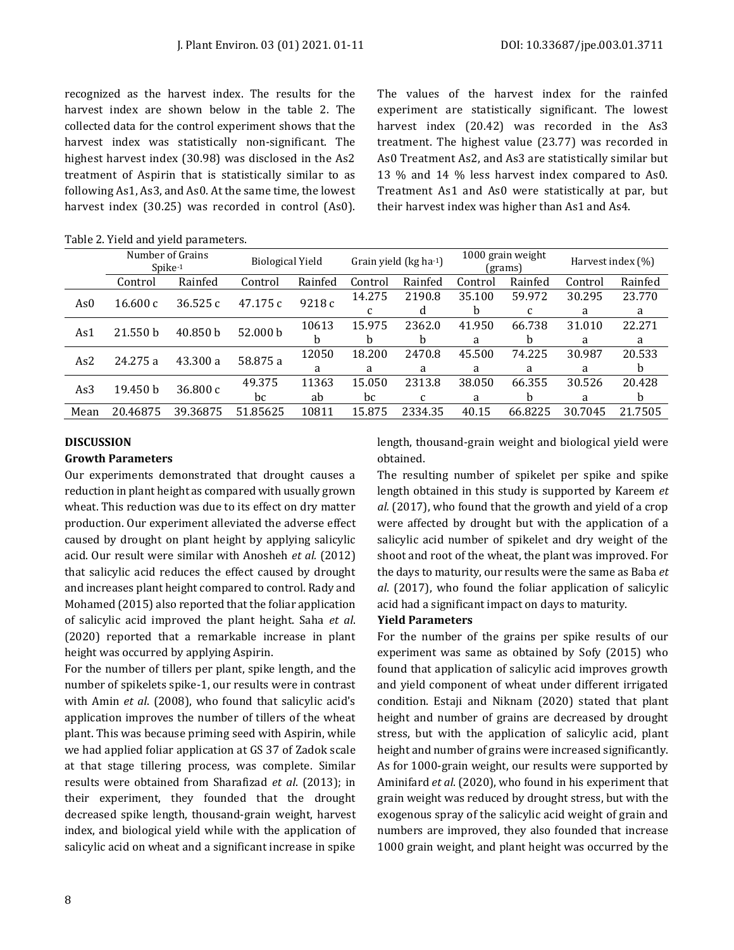recognized as the harvest index. The results for the harvest index are shown below in the table 2. The collected data for the control experiment shows that the harvest index was statistically non-significant. The highest harvest index (30.98) was disclosed in the As2 treatment of Aspirin that is statistically similar to as following As1, As3, and As0. At the same time, the lowest harvest index (30.25) was recorded in control (As0). The values of the harvest index for the rainfed experiment are statistically significant. The lowest harvest index (20.42) was recorded in the As3 treatment. The highest value (23.77) was recorded in As0 Treatment As2, and As3 are statistically similar but 13 % and 14 % less harvest index compared to As0. Treatment As1 and As0 were statistically at par, but their harvest index was higher than As1 and As4.

|                 | Number of Grains<br>$Spike-1$ |            | <b>Biological Yield</b> |              | Grain yield (kg ha-1) |              | 1000 grain weight<br>(grams) |         | Harvest index $(\%)$ |         |
|-----------------|-------------------------------|------------|-------------------------|--------------|-----------------------|--------------|------------------------------|---------|----------------------|---------|
|                 | Control                       | Rainfed    | Control                 | Rainfed      | Control               | Rainfed      | Control                      | Rainfed | Control              | Rainfed |
| As0<br>16.600c  |                               | 36.525 $c$ | 47.175 c                | 9218c        | 14.275                | 2190.8       | 35.100                       | 59.972  | 30.295               | 23.770  |
|                 |                               |            |                         | C            | đ                     | <sub>b</sub> | C                            | a       | a                    |         |
| 21.550 b<br>As1 | 40.850 b                      | 52.000 b   | 10613                   | 15.975       | 2362.0                | 41.950       | 66.738                       | 31.010  | 22.271               |         |
|                 |                               |            | b                       | <sub>b</sub> | b                     | a            | b                            | a       | a                    |         |
| As2<br>24.275 a | 43.300 a                      | 58.875 a   | 12050                   | 18.200       | 2470.8                | 45.500       | 74.225                       | 30.987  | 20.533               |         |
|                 |                               |            |                         | a            | a                     | a            | a                            | a       | a                    | b       |
| As3<br>19.450 b |                               | 36.800 c   | 49.375                  | 11363        | 15.050                | 2313.8       | 38.050                       | 66.355  | 30.526               | 20.428  |
|                 |                               |            | bc                      | ab           | bc                    | C            | a                            | b       | a                    | b.      |
| Mean            | 20.46875                      | 39.36875   | 51.85625                | 10811        | 15.875                | 2334.35      | 40.15                        | 66.8225 | 30.7045              | 21.7505 |

Table 2. Yield and yield parameters.

## **DISCUSSION**

## **Growth Parameters**

Our experiments demonstrated that drought causes a reduction in plant height as compared with usually grown wheat. This reduction was due to its effect on dry matter production. Our experiment alleviated the adverse effect caused by drought on plant height by applying salicylic acid. Our result were similar with Anosheh *et al.* (2012) that salicylic acid reduces the effect caused by drought and increases plant height compared to control. Rady and Mohamed (2015) also reported that the foliar application of salicylic acid improved the plant height. Saha *et al*. (2020) reported that a remarkable increase in plant height was occurred by applying Aspirin.

For the number of tillers per plant, spike length, and the number of spikelets spike-1, our results were in contrast with Amin *et al*. (2008), who found that salicylic acid's application improves the number of tillers of the wheat plant. This was because priming seed with Aspirin, while we had applied foliar application at GS 37 of Zadok scale at that stage tillering process, was complete. Similar results were obtained from Sharafizad *et al*. (2013); in their experiment, they founded that the drought decreased spike length, thousand-grain weight, harvest index, and biological yield while with the application of salicylic acid on wheat and a significant increase in spike length, thousand-grain weight and biological yield were obtained.

The resulting number of spikelet per spike and spike length obtained in this study is supported by Kareem *et al.* (2017), who found that the growth and yield of a crop were affected by drought but with the application of a salicylic acid number of spikelet and dry weight of the shoot and root of the wheat, the plant was improved. For the days to maturity, our results were the same as Baba *et al*. (2017), who found the foliar application of salicylic acid had a significant impact on days to maturity.

#### **Yield Parameters**

For the number of the grains per spike results of our experiment was same as obtained by Sofy (2015) who found that application of salicylic acid improves growth and yield component of wheat under different irrigated condition. Estaji and Niknam (2020) stated that plant height and number of grains are decreased by drought stress, but with the application of salicylic acid, plant height and number of grains were increased significantly. As for 1000-grain weight, our results were supported by Aminifard *et al*. (2020), who found in his experiment that grain weight was reduced by drought stress, but with the exogenous spray of the salicylic acid weight of grain and numbers are improved, they also founded that increase 1000 grain weight, and plant height was occurred by the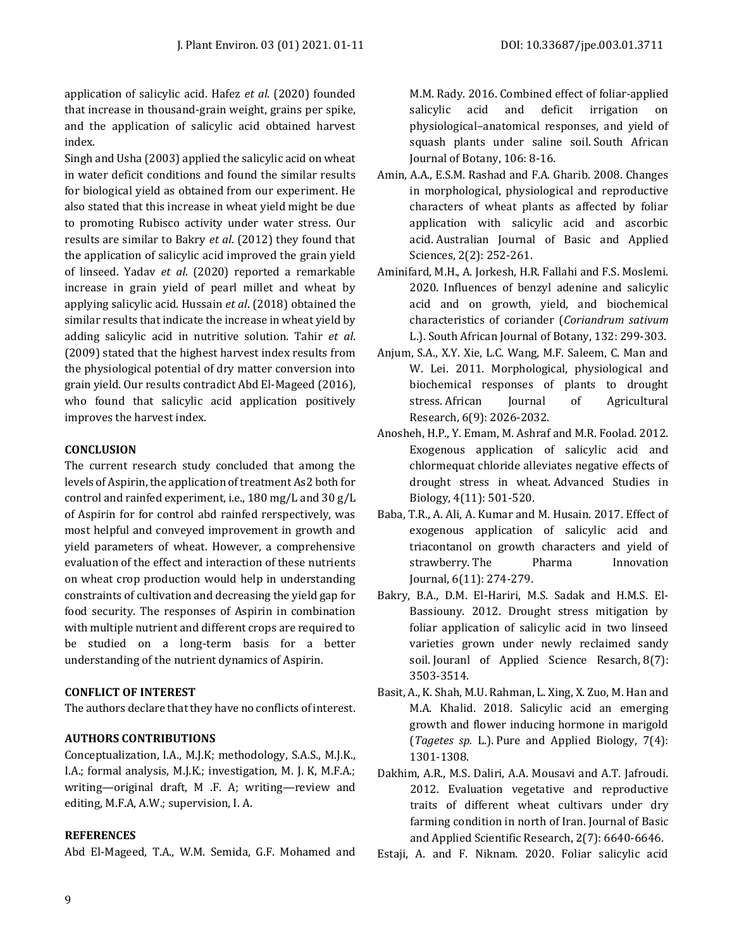application of salicylic acid. Hafez *et al*. (2020) founded that increase in thousand-grain weight, grains per spike, and the application of salicylic acid obtained harvest index.

Singh and Usha (2003) applied the salicylic acid on wheat in water deficit conditions and found the similar results for biological yield as obtained from our experiment. He also stated that this increase in wheat yield might be due to promoting Rubisco activity under water stress. Our results are similar to Bakry *et al*. (2012) they found that the application of salicylic acid improved the grain yield of linseed. Yadav *et al*. (2020) reported a remarkable increase in grain yield of pearl millet and wheat by applying salicylic acid. Hussain *et al*. (2018) obtained the similar results that indicate the increase in wheat yield by adding salicylic acid in nutritive solution. Tahir *et al*. (2009) stated that the highest harvest index results from the physiological potential of dry matter conversion into grain yield. Our results contradict Abd El-Mageed (2016), who found that salicylic acid application positively improves the harvest index.

## **CONCLUSION**

The current research study concluded that among the levels of Aspirin, the application of treatment As2 both for control and rainfed experiment, i.e., 180 mg/L and 30 g/L of Aspirin for for control abd rainfed rerspectively, was most helpful and conveyed improvement in growth and yield parameters of wheat. However, a comprehensive evaluation of the effect and interaction of these nutrients on wheat crop production would help in understanding constraints of cultivation and decreasing the yield gap for food security. The responses of Aspirin in combination with multiple nutrient and different crops are required to be studied on a long-term basis for a better understanding of the nutrient dynamics of Aspirin.

## **CONFLICT OF INTEREST**

The authors declare that they have no conflicts of interest.

## **AUTHORS CONTRIBUTIONS**

Conceptualization, I.A., M.J.K; methodology, S.A.S., M.J.K., I.A.; formal analysis, M.J.K.; investigation, M. J. K, M.F.A.; writing—original draft, M .F. A; writing—review and editing, M.F.A, A.W.; supervision, I. A.

## **REFERENCES**

Abd El-Mageed, T.A., W.M. Semida, G.F. Mohamed and

M.M. Rady. 2016. Combined effect of foliar-applied salicylic acid and deficit irrigation on physiological–anatomical responses, and yield of squash plants under saline soil. South African Journal of Botany, 106: 8-16.

- Amin, A.A., E.S.M. Rashad and F.A. Gharib. 2008. Changes in morphological, physiological and reproductive characters of wheat plants as affected by foliar application with salicylic acid and ascorbic acid. Australian Journal of Basic and Applied Sciences, 2(2): 252-261.
- Aminifard, M.H., A. Jorkesh, H.R. Fallahi and F.S. Moslemi. 2020. Influences of benzyl adenine and salicylic acid and on growth, yield, and biochemical characteristics of coriander (*Coriandrum sativum* L.). South African Journal of Botany, 132: 299-303.
- Anjum, S.A., X.Y. Xie, L.C. Wang, M.F. Saleem, C. Man and W. Lei. 2011. Morphological, physiological and biochemical responses of plants to drought stress. African Journal of Agricultural Research, 6(9): 2026-2032.
- Anosheh, H.P., Y. Emam, M. Ashraf and M.R. Foolad. 2012. Exogenous application of salicylic acid and chlormequat chloride alleviates negative effects of drought stress in wheat. Advanced Studies in Biology, 4(11): 501-520.
- Baba, T.R., A. Ali, A. Kumar and M. Husain. 2017. Effect of exogenous application of salicylic acid and triacontanol on growth characters and yield of strawberry. The Pharma Innovation Journal, 6(11): 274-279.
- Bakry, B.A., D.M. El-Hariri, M.S. Sadak and H.M.S. El-Bassiouny. 2012. Drought stress mitigation by foliar application of salicylic acid in two linseed varieties grown under newly reclaimed sandy soil. Jouranl of Applied Science Resarch, 8(7): 3503-3514.
- Basit, A., K. Shah, M.U. Rahman, L. Xing, X. Zuo, M. Han and M.A. Khalid. 2018. Salicylic acid an emerging growth and flower inducing hormone in marigold (*Tagetes sp.* L.). Pure and Applied Biology, 7(4): 1301-1308.
- Dakhim, A.R., M.S. Daliri, A.A. Mousavi and A.T. Jafroudi. 2012. Evaluation vegetative and reproductive traits of different wheat cultivars under dry farming condition in north of Iran. Journal of Basic and Applied Scientific Research, 2(7): 6640-6646.
- Estaji, A. and F. Niknam. 2020. Foliar salicylic acid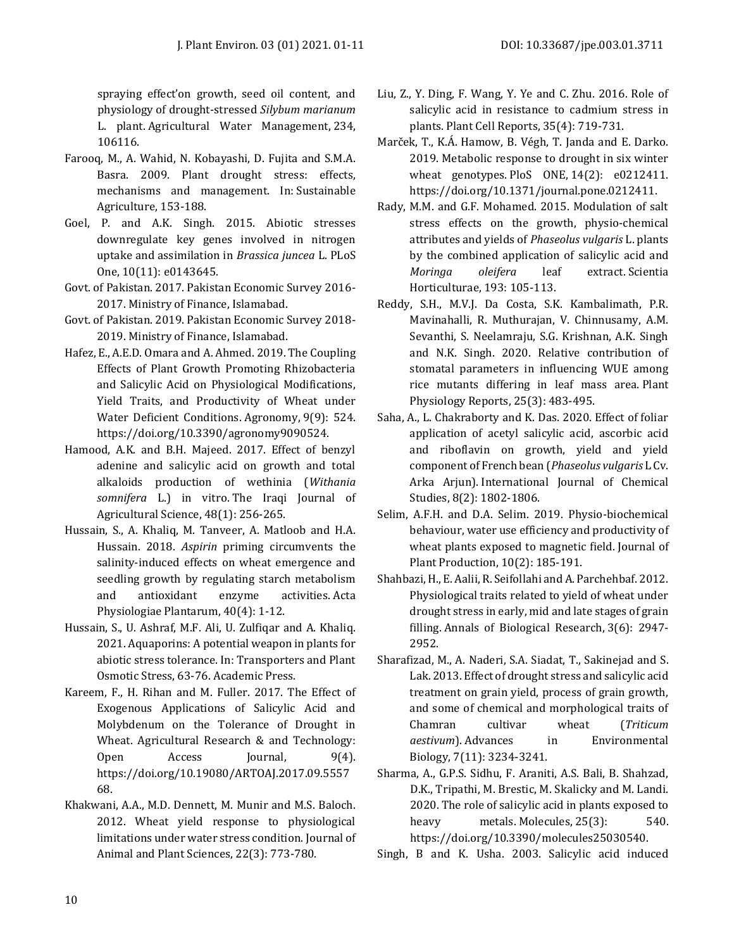spraying effect'on growth, seed oil content, and physiology of drought-stressed *Silybum marianum* L. plant. Agricultural Water Management, 234, 106116.

- Farooq, M., A. Wahid, N. Kobayashi, D. Fujita and S.M.A. Basra. 2009. Plant drought stress: effects, mechanisms and management. In: Sustainable Agriculture, 153-188.
- Goel, P. and A.K. Singh. 2015. Abiotic stresses downregulate key genes involved in nitrogen uptake and assimilation in *Brassica juncea* L. PLoS One, 10(11): e0143645.
- Govt. of Pakistan. 2017. Pakistan Economic Survey 2016- 2017. Ministry of Finance, Islamabad.
- Govt. of Pakistan. 2019. Pakistan Economic Survey 2018- 2019. Ministry of Finance, Islamabad.
- Hafez, E., A.E.D. Omara and A. Ahmed. 2019. The Coupling Effects of Plant Growth Promoting Rhizobacteria and Salicylic Acid on Physiological Modifications, Yield Traits, and Productivity of Wheat under Water Deficient Conditions. Agronomy, 9(9): 524. [https://doi.org/10.3390/agronomy9090524.](https://doi.org/10.3390/agronomy9090524)
- Hamood, A.K. and B.H. Majeed. 2017. Effect of benzyl adenine and salicylic acid on growth and total alkaloids production of wethinia (*Withania somnifera* L.) in vitro. The Iraqi Journal of Agricultural Science, 48(1): 256-265.
- Hussain, S., A. Khaliq, M. Tanveer, A. Matloob and H.A. Hussain. 2018. *Aspirin* priming circumvents the salinity-induced effects on wheat emergence and seedling growth by regulating starch metabolism and antioxidant enzyme activities. Acta Physiologiae Plantarum, 40(4): 1-12.
- Hussain, S., U. Ashraf, M.F. Ali, U. Zulfiqar and A. Khaliq. 2021. Aquaporins: A potential weapon in plants for abiotic stress tolerance. In: Transporters and Plant Osmotic Stress, 63-76. Academic Press.
- Kareem, F., H. Rihan and M. Fuller. 2017. The Effect of Exogenous Applications of Salicylic Acid and Molybdenum on the Tolerance of Drought in Wheat. Agricultural Research & and Technology: Open Access Journal, 9(4). [https://doi.org/10.19080/ARTOAJ.2017.09.5557](https://doi.org/10.19080/ARTOAJ.2017.09.555768) [68.](https://doi.org/10.19080/ARTOAJ.2017.09.555768)
- Khakwani, A.A., M.D. Dennett, M. Munir and M.S. Baloch. 2012. Wheat yield response to physiological limitations under water stress condition. Journal of Animal and Plant Sciences, 22(3): 773-780.
- Liu, Z., Y. Ding, F. Wang, Y. Ye and C. Zhu. 2016. Role of salicylic acid in resistance to cadmium stress in plants. Plant Cell Reports, 35(4): 719-731.
- Marček, T., K.Á. Hamow, B. Végh, T. Janda and E. Darko. 2019. Metabolic response to drought in six winter wheat genotypes. PloS ONE, 14(2): e0212411. [https://doi.org/10.1371/journal.pone.0212411.](https://doi.org/10.1371/journal.pone.0212411)
- Rady, M.M. and G.F. Mohamed. 2015. Modulation of salt stress effects on the growth, physio-chemical attributes and yields of *Phaseolus vulgaris* L. plants by the combined application of salicylic acid and *Moringa oleifera* leaf extract. Scientia Horticulturae, 193: 105-113.
- Reddy, S.H., M.V.J. Da Costa, S.K. Kambalimath, P.R. Mavinahalli, R. Muthurajan, V. Chinnusamy, A.M. Sevanthi, S. Neelamraju, S.G. Krishnan, A.K. Singh and N.K. Singh. 2020. Relative contribution of stomatal parameters in influencing WUE among rice mutants differing in leaf mass area. Plant Physiology Reports, 25(3): 483-495.
- Saha, A., L. Chakraborty and K. Das. 2020. Effect of foliar application of acetyl salicylic acid, ascorbic acid and riboflavin on growth, yield and yield component of French bean (*Phaseolus vulgaris* L Cv. Arka Arjun). International Journal of Chemical Studies, 8(2): 1802-1806.
- Selim, A.F.H. and D.A. Selim. 2019. Physio-biochemical behaviour, water use efficiency and productivity of wheat plants exposed to magnetic field. Journal of Plant Production, 10(2): 185-191.
- Shahbazi, H., E. Aalii, R. Seifollahi and A. Parchehbaf. 2012. Physiological traits related to yield of wheat under drought stress in early, mid and late stages of grain filling. Annals of Biological Research, 3(6): 2947- 2952.
- Sharafizad, M., A. Naderi, S.A. Siadat, T., Sakinejad and S. Lak. 2013. Effect of drought stress and salicylic acid treatment on grain yield, process of grain growth, and some of chemical and morphological traits of Chamran cultivar wheat (*Triticum aestivum*). Advances in Environmental Biology, 7(11): 3234-3241.
- Sharma, A., G.P.S. Sidhu, F. Araniti, A.S. Bali, B. Shahzad, D.K., Tripathi, M. Brestic, M. Skalicky and M. Landi. 2020. The role of salicylic acid in plants exposed to heavy metals. Molecules, 25(3): 540. [https://doi.org/10.3390/molecules25030540.](https://doi.org/10.3390/molecules25030540)

Singh, B and K. Usha. 2003. Salicylic acid induced